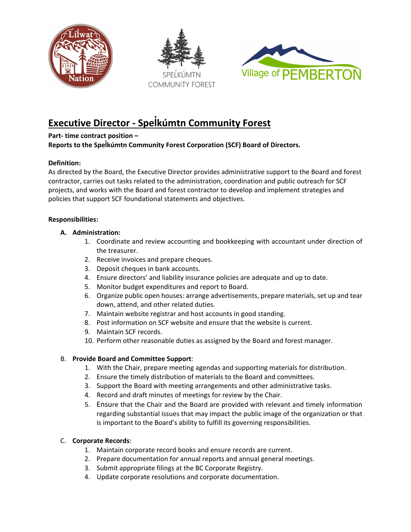





# **Executive Director - Spelk� úmtn Community Forest**

# **Part- time contract position –**

**Reports to the Spelk� úmtn Community Forest Corporation (SCF) Board of Directors.**

#### **Definition:**

As directed by the Board, the Executive Director provides administrative support to the Board and forest contractor, carries out tasks related to the administration, coordination and public outreach for SCF projects, and works with the Board and forest contractor to develop and implement strategies and policies that support SCF foundational statements and objectives.

#### **Responsibilities:**

#### **A. Administration:**

- 1. Coordinate and review accounting and bookkeeping with accountant under direction of the treasurer.
- 2. Receive invoices and prepare cheques.
- 3. Deposit cheques in bank accounts.
- 4. Ensure directors' and liability insurance policies are adequate and up to date.
- 5. Monitor budget expenditures and report to Board.
- 6. Organize public open houses: arrange advertisements, prepare materials, set up and tear down, attend, and other related duties.
- 7. Maintain website registrar and host accounts in good standing.
- 8. Post information on SCF website and ensure that the website is current.
- 9. Maintain SCF records.
- 10. Perform other reasonable duties as assigned by the Board and forest manager.

#### B. **Provide Board and Committee Support**:

- 1. With the Chair, prepare meeting agendas and supporting materials for distribution.
- 2. Ensure the timely distribution of materials to the Board and committees.
- 3. Support the Board with meeting arrangements and other administrative tasks.
- 4. Record and draft minutes of meetings for review by the Chair.
- 5. Ensure that the Chair and the Board are provided with relevant and timely information regarding substantial issues that may impact the public image of the organization or that is important to the Board's ability to fulfill its governing responsibilities.

#### C. **Corporate Records**:

- 1. Maintain corporate record books and ensure records are current.
- 2. Prepare documentation for annual reports and annual general meetings.
- 3. Submit appropriate filings at the BC Corporate Registry.
- 4. Update corporate resolutions and corporate documentation.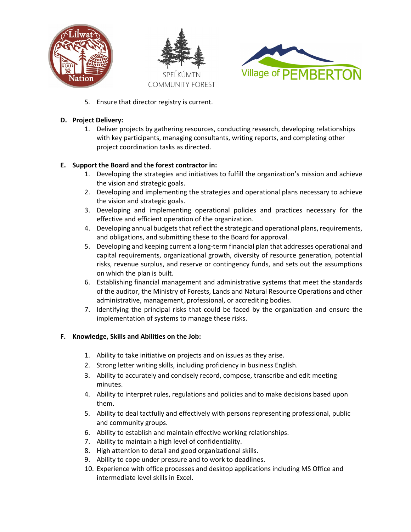





5. Ensure that director registry is current.

### **D. Project Delivery:**

1. Deliver projects by gathering resources, conducting research, developing relationships with key participants, managing consultants, writing reports, and completing other project coordination tasks as directed.

# **E. Support the Board and the forest contractor in:**

- 1. Developing the strategies and initiatives to fulfill the organization's mission and achieve the vision and strategic goals.
- 2. Developing and implementing the strategies and operational plans necessary to achieve the vision and strategic goals.
- 3. Developing and implementing operational policies and practices necessary for the effective and efficient operation of the organization.
- 4. Developing annual budgets that reflect the strategic and operational plans, requirements, and obligations, and submitting these to the Board for approval.
- 5. Developing and keeping current a long-term financial plan that addresses operational and capital requirements, organizational growth, diversity of resource generation, potential risks, revenue surplus, and reserve or contingency funds, and sets out the assumptions on which the plan is built.
- 6. Establishing financial management and administrative systems that meet the standards of the auditor, the Ministry of Forests, Lands and Natural Resource Operations and other administrative, management, professional, or accrediting bodies.
- 7. Identifying the principal risks that could be faced by the organization and ensure the implementation of systems to manage these risks.

#### **F. Knowledge, Skills and Abilities on the Job:**

- 1. Ability to take initiative on projects and on issues as they arise.
- 2. Strong letter writing skills, including proficiency in business English.
- 3. Ability to accurately and concisely record, compose, transcribe and edit meeting minutes.
- 4. Ability to interpret rules, regulations and policies and to make decisions based upon them.
- 5. Ability to deal tactfully and effectively with persons representing professional, public and community groups.
- 6. Ability to establish and maintain effective working relationships.
- 7. Ability to maintain a high level of confidentiality.
- 8. High attention to detail and good organizational skills.
- 9. Ability to cope under pressure and to work to deadlines.
- 10. Experience with office processes and desktop applications including MS Office and intermediate level skills in Excel.